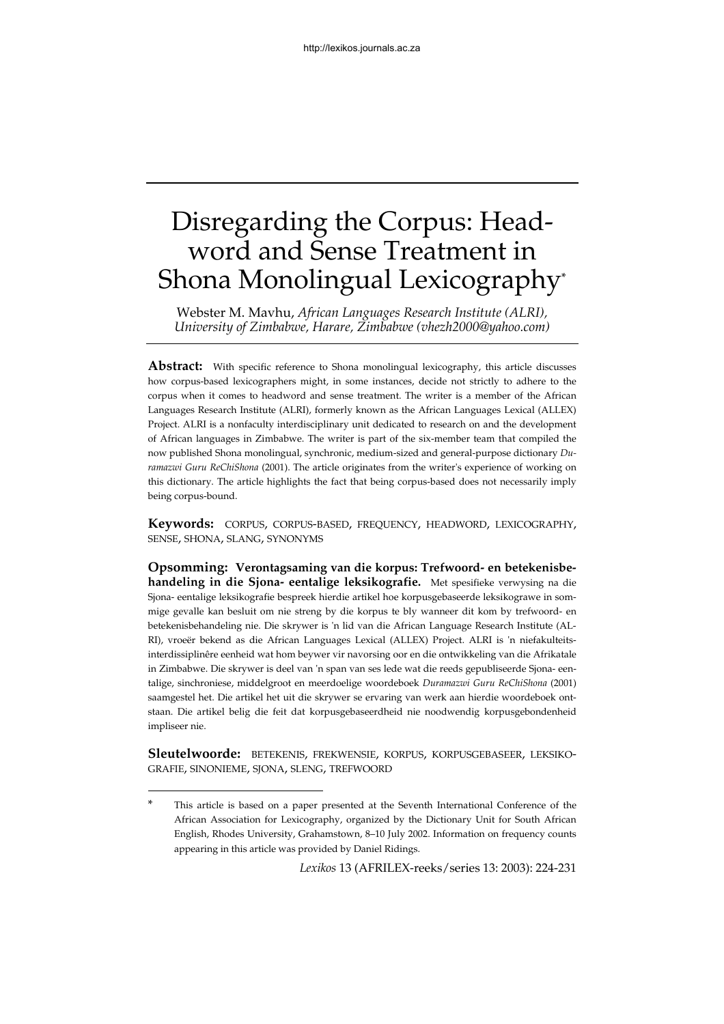# Disregarding the Corpus: Headword and Sense Treatment in Shona Monolingual Lexicograph[y\\*](#page-0-0)

Webster M. Mavhu, *African Languages Research Institute (ALRI), University of Zimbabwe, Harare, Zimbabwe (vhezh2000@yahoo.com)*

**Abstract:** With specific reference to Shona monolingual lexicography, this article discusses how corpus-based lexicographers might, in some instances, decide not strictly to adhere to the corpus when it comes to headword and sense treatment. The writer is a member of the African Languages Research Institute (ALRI), formerly known as the African Languages Lexical (ALLEX) Project. ALRI is a nonfaculty interdisciplinary unit dedicated to research on and the development of African languages in Zimbabwe. The writer is part of the six-member team that compiled the now published Shona monolingual, synchronic, medium-sized and general-purpose dictionary *Duramazwi Guru ReChiShona* (2001). The article originates from the writer's experience of working on this dictionary. The article highlights the fact that being corpus-based does not necessarily imply being corpus-bound.

**Keywords:** CORPUS, CORPUS-BASED, FREQUENCY, HEADWORD, LEXICOGRAPHY, SENSE, SHONA, SLANG, SYNONYMS

**Opsomming: Verontagsaming van die korpus: Trefwoord- en betekenisbehandeling in die Sjona- eentalige leksikografie.** Met spesifieke verwysing na die Sjona- eentalige leksikografie bespreek hierdie artikel hoe korpusgebaseerde leksikograwe in sommige gevalle kan besluit om nie streng by die korpus te bly wanneer dit kom by trefwoord- en betekenisbehandeling nie. Die skrywer is 'n lid van die African Language Research Institute (AL-RI), vroeër bekend as die African Languages Lexical (ALLEX) Project. ALRI is 'n niefakulteitsinterdissiplinêre eenheid wat hom beywer vir navorsing oor en die ontwikkeling van die Afrikatale in Zimbabwe. Die skrywer is deel van 'n span van ses lede wat die reeds gepubliseerde Sjona- eentalige, sinchroniese, middelgroot en meerdoelige woordeboek *Duramazwi Guru ReChiShona* (2001) saamgestel het. Die artikel het uit die skrywer se ervaring van werk aan hierdie woordeboek ontstaan. Die artikel belig die feit dat korpusgebaseerdheid nie noodwendig korpusgebondenheid impliseer nie.

**Sleutelwoorde:** BETEKENIS, FREKWENSIE, KORPUS, KORPUSGEBASEER, LEKSIKO-GRAFIE, SINONIEME, SJONA, SLENG, TREFWOORD

l

*Lexikos* 13 (AFRILEX-reeks/series 13: 2003): 224-231

<span id="page-0-0"></span>This article is based on a paper presented at the Seventh International Conference of the African Association for Lexicography, organized by the Dictionary Unit for South African English, Rhodes University, Grahamstown, 8–10 July 2002. Information on frequency counts appearing in this article was provided by Daniel Ridings.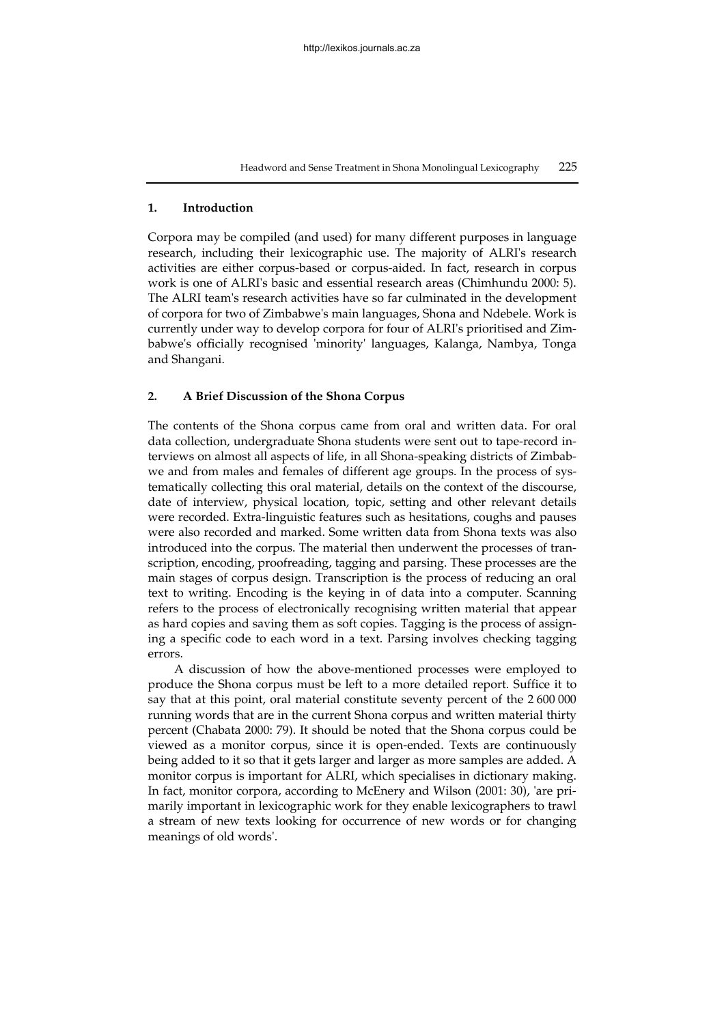#### **1. Introduction**

Corpora may be compiled (and used) for many different purposes in language research, including their lexicographic use. The majority of ALRI's research activities are either corpus-based or corpus-aided. In fact, research in corpus work is one of ALRI's basic and essential research areas (Chimhundu 2000: 5). The ALRI team's research activities have so far culminated in the development of corpora for two of Zimbabwe's main languages, Shona and Ndebele. Work is currently under way to develop corpora for four of ALRI's prioritised and Zimbabwe's officially recognised 'minority' languages, Kalanga, Nambya, Tonga and Shangani.

## **2. A Brief Discussion of the Shona Corpus**

The contents of the Shona corpus came from oral and written data. For oral data collection, undergraduate Shona students were sent out to tape-record interviews on almost all aspects of life, in all Shona-speaking districts of Zimbabwe and from males and females of different age groups. In the process of systematically collecting this oral material, details on the context of the discourse, date of interview, physical location, topic, setting and other relevant details were recorded. Extra-linguistic features such as hesitations, coughs and pauses were also recorded and marked. Some written data from Shona texts was also introduced into the corpus. The material then underwent the processes of transcription, encoding, proofreading, tagging and parsing. These processes are the main stages of corpus design. Transcription is the process of reducing an oral text to writing. Encoding is the keying in of data into a computer. Scanning refers to the process of electronically recognising written material that appear as hard copies and saving them as soft copies. Tagging is the process of assigning a specific code to each word in a text. Parsing involves checking tagging errors.

A discussion of how the above-mentioned processes were employed to produce the Shona corpus must be left to a more detailed report. Suffice it to say that at this point, oral material constitute seventy percent of the 2 600 000 running words that are in the current Shona corpus and written material thirty percent (Chabata 2000: 79). It should be noted that the Shona corpus could be viewed as a monitor corpus, since it is open-ended. Texts are continuously being added to it so that it gets larger and larger as more samples are added. A monitor corpus is important for ALRI, which specialises in dictionary making. In fact, monitor corpora, according to McEnery and Wilson (2001: 30), 'are primarily important in lexicographic work for they enable lexicographers to trawl a stream of new texts looking for occurrence of new words or for changing meanings of old words'.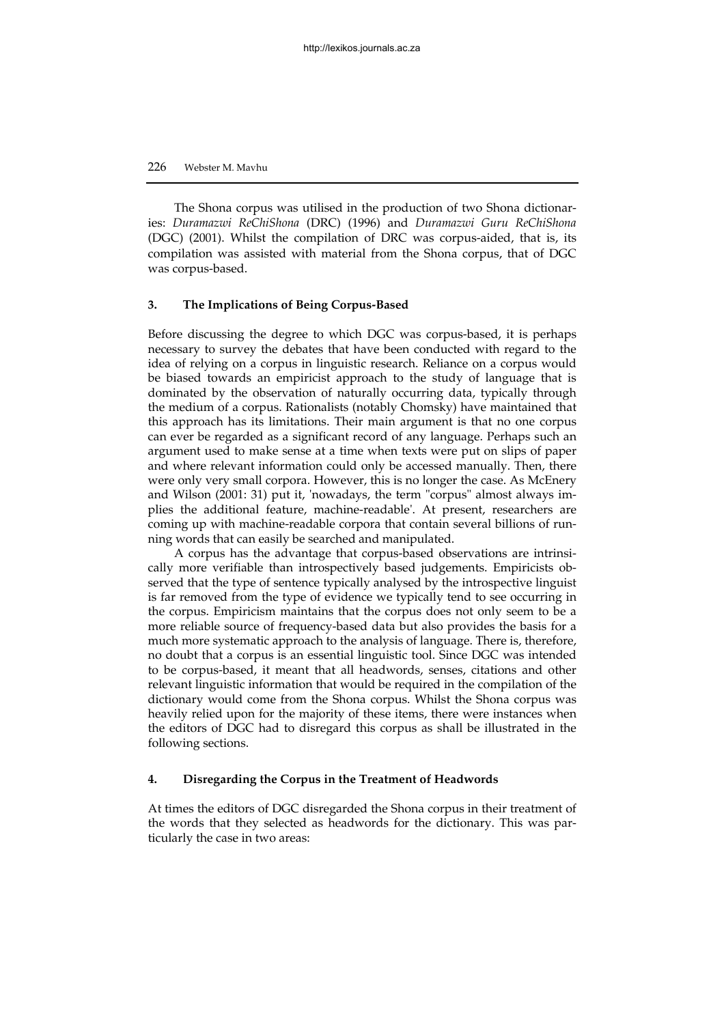## 226 Webster M. Mavhu

The Shona corpus was utilised in the production of two Shona dictionaries: *Duramazwi ReChiShona* (DRC) (1996) and *Duramazwi Guru ReChiShona* (DGC) (2001). Whilst the compilation of DRC was corpus-aided, that is, its compilation was assisted with material from the Shona corpus, that of DGC was corpus-based.

#### **3. The Implications of Being Corpus-Based**

Before discussing the degree to which DGC was corpus-based, it is perhaps necessary to survey the debates that have been conducted with regard to the idea of relying on a corpus in linguistic research. Reliance on a corpus would be biased towards an empiricist approach to the study of language that is dominated by the observation of naturally occurring data, typically through the medium of a corpus. Rationalists (notably Chomsky) have maintained that this approach has its limitations. Their main argument is that no one corpus can ever be regarded as a significant record of any language. Perhaps such an argument used to make sense at a time when texts were put on slips of paper and where relevant information could only be accessed manually. Then, there were only very small corpora. However, this is no longer the case. As McEnery and Wilson (2001: 31) put it, 'nowadays, the term "corpus" almost always implies the additional feature, machine-readable'. At present, researchers are coming up with machine-readable corpora that contain several billions of running words that can easily be searched and manipulated.

A corpus has the advantage that corpus-based observations are intrinsically more verifiable than introspectively based judgements. Empiricists observed that the type of sentence typically analysed by the introspective linguist is far removed from the type of evidence we typically tend to see occurring in the corpus. Empiricism maintains that the corpus does not only seem to be a more reliable source of frequency-based data but also provides the basis for a much more systematic approach to the analysis of language. There is, therefore, no doubt that a corpus is an essential linguistic tool. Since DGC was intended to be corpus-based, it meant that all headwords, senses, citations and other relevant linguistic information that would be required in the compilation of the dictionary would come from the Shona corpus. Whilst the Shona corpus was heavily relied upon for the majority of these items, there were instances when the editors of DGC had to disregard this corpus as shall be illustrated in the following sections.

# **4. Disregarding the Corpus in the Treatment of Headwords**

At times the editors of DGC disregarded the Shona corpus in their treatment of the words that they selected as headwords for the dictionary. This was particularly the case in two areas: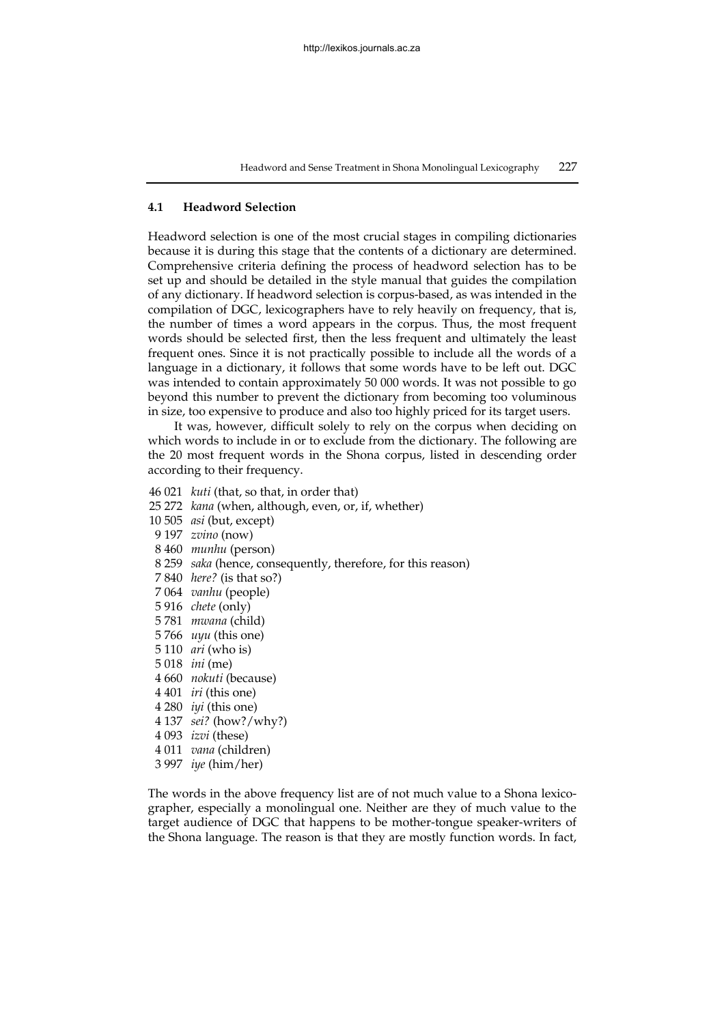#### **4.1 Headword Selection**

Headword selection is one of the most crucial stages in compiling dictionaries because it is during this stage that the contents of a dictionary are determined. Comprehensive criteria defining the process of headword selection has to be set up and should be detailed in the style manual that guides the compilation of any dictionary. If headword selection is corpus-based, as was intended in the compilation of DGC, lexicographers have to rely heavily on frequency, that is, the number of times a word appears in the corpus. Thus, the most frequent words should be selected first, then the less frequent and ultimately the least frequent ones. Since it is not practically possible to include all the words of a language in a dictionary, it follows that some words have to be left out. DGC was intended to contain approximately 50 000 words. It was not possible to go beyond this number to prevent the dictionary from becoming too voluminous in size, too expensive to produce and also too highly priced for its target users.

It was, however, difficult solely to rely on the corpus when deciding on which words to include in or to exclude from the dictionary. The following are the 20 most frequent words in the Shona corpus, listed in descending order according to their frequency.

 46 021 *kuti* (that, so that, in order that) 25 272 *kana* (when, although, even, or, if, whether) 10 505 *asi* (but, except) 9 197 *zvino* (now) 8 460 *munhu* (person) 8 259 *saka* (hence, consequently, therefore, for this reason) 7 840 *here?* (is that so?) 7 064 *vanhu* (people) 5 916 *chete* (only) 5 781 *mwana* (child) 5 766 *uyu* (this one) 5 110 *ari* (who is) 5 018 *ini* (me) 4 660 *nokuti* (because) 4 401 *iri* (this one) 4 280 *iyi* (this one) 4 137 *sei?* (how?/why?) 4 093 *izvi* (these) 4 011 *vana* (children) 3 997 *iye* (him/her)

The words in the above frequency list are of not much value to a Shona lexicographer, especially a monolingual one. Neither are they of much value to the target audience of DGC that happens to be mother-tongue speaker-writers of the Shona language. The reason is that they are mostly function words. In fact,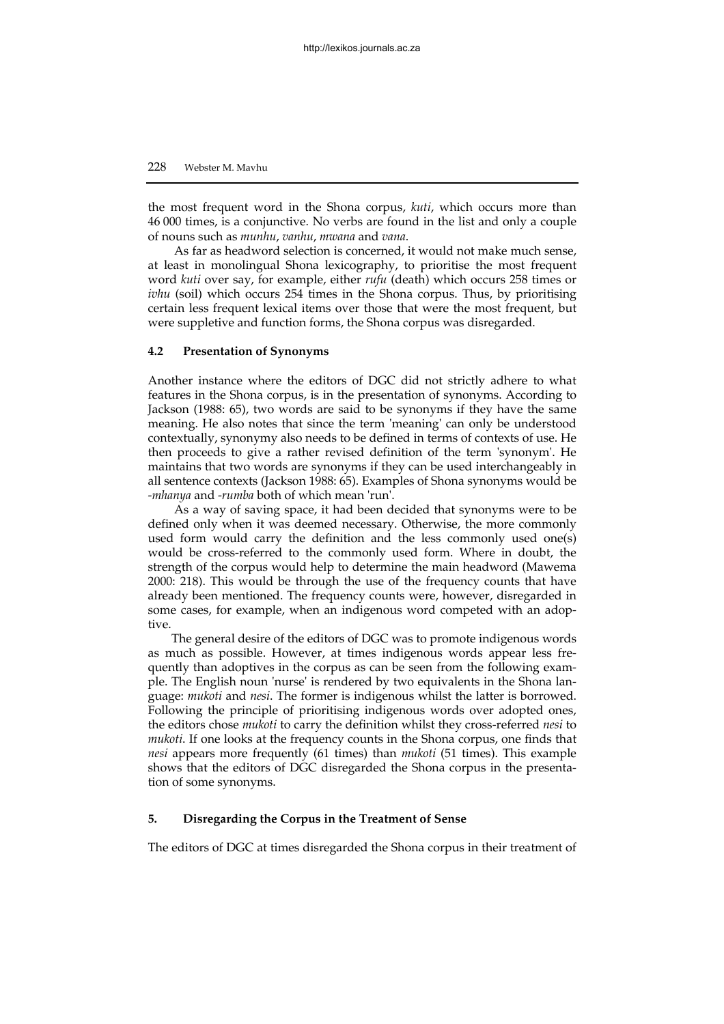### 228 Webster M. Mavhu

the most frequent word in the Shona corpus, *kuti*, which occurs more than 46 000 times, is a conjunctive. No verbs are found in the list and only a couple of nouns such as *munhu*, *vanhu*, *mwana* and *vana*.

As far as headword selection is concerned, it would not make much sense, at least in monolingual Shona lexicography, to prioritise the most frequent word *kuti* over say, for example, either *rufu* (death) which occurs 258 times or *ivhu* (soil) which occurs 254 times in the Shona corpus. Thus, by prioritising certain less frequent lexical items over those that were the most frequent, but were suppletive and function forms, the Shona corpus was disregarded.

#### **4.2 Presentation of Synonyms**

Another instance where the editors of DGC did not strictly adhere to what features in the Shona corpus, is in the presentation of synonyms. According to Jackson (1988: 65), two words are said to be synonyms if they have the same meaning. He also notes that since the term 'meaning' can only be understood contextually, synonymy also needs to be defined in terms of contexts of use. He then proceeds to give a rather revised definition of the term 'synonym'. He maintains that two words are synonyms if they can be used interchangeably in all sentence contexts (Jackson 1988: 65). Examples of Shona synonyms would be -*mhanya* and -*rumba* both of which mean 'run'.

As a way of saving space, it had been decided that synonyms were to be defined only when it was deemed necessary. Otherwise, the more commonly used form would carry the definition and the less commonly used one(s) would be cross-referred to the commonly used form. Where in doubt, the strength of the corpus would help to determine the main headword (Mawema 2000: 218). This would be through the use of the frequency counts that have already been mentioned. The frequency counts were, however, disregarded in some cases, for example, when an indigenous word competed with an adoptive.

The general desire of the editors of DGC was to promote indigenous words as much as possible. However, at times indigenous words appear less frequently than adoptives in the corpus as can be seen from the following example. The English noun 'nurse' is rendered by two equivalents in the Shona language: *mukoti* and *nesi*. The former is indigenous whilst the latter is borrowed. Following the principle of prioritising indigenous words over adopted ones, the editors chose *mukoti* to carry the definition whilst they cross-referred *nesi* to *mukoti*. If one looks at the frequency counts in the Shona corpus, one finds that *nesi* appears more frequently (61 times) than *mukoti* (51 times). This example shows that the editors of DGC disregarded the Shona corpus in the presentation of some synonyms.

# **5. Disregarding the Corpus in the Treatment of Sense**

The editors of DGC at times disregarded the Shona corpus in their treatment of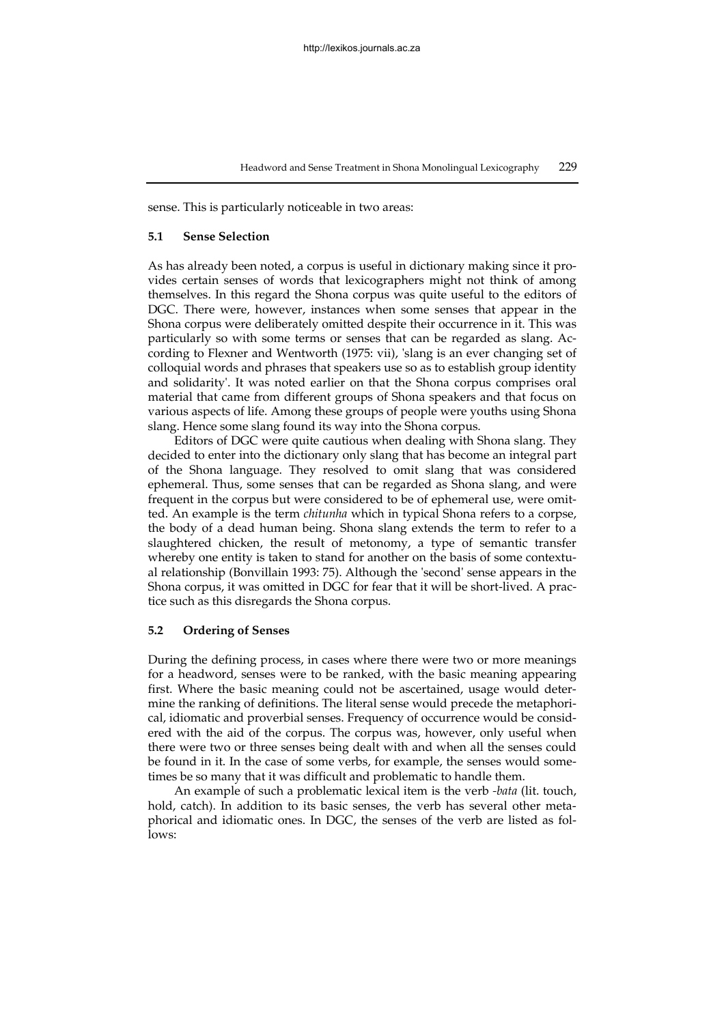sense. This is particularly noticeable in two areas:

#### **5.1 Sense Selection**

As has already been noted, a corpus is useful in dictionary making since it provides certain senses of words that lexicographers might not think of among themselves. In this regard the Shona corpus was quite useful to the editors of DGC. There were, however, instances when some senses that appear in the Shona corpus were deliberately omitted despite their occurrence in it. This was particularly so with some terms or senses that can be regarded as slang. According to Flexner and Wentworth (1975: vii), 'slang is an ever changing set of colloquial words and phrases that speakers use so as to establish group identity and solidarity'. It was noted earlier on that the Shona corpus comprises oral material that came from different groups of Shona speakers and that focus on various aspects of life. Among these groups of people were youths using Shona slang. Hence some slang found its way into the Shona corpus.

Editors of DGC were quite cautious when dealing with Shona slang. They decided to enter into the dictionary only slang that has become an integral part of the Shona language. They resolved to omit slang that was considered ephemeral. Thus, some senses that can be regarded as Shona slang, and were frequent in the corpus but were considered to be of ephemeral use, were omitted. An example is the term *chitunha* which in typical Shona refers to a corpse, the body of a dead human being. Shona slang extends the term to refer to a slaughtered chicken, the result of metonomy, a type of semantic transfer whereby one entity is taken to stand for another on the basis of some contextual relationship (Bonvillain 1993: 75). Although the 'second' sense appears in the Shona corpus, it was omitted in DGC for fear that it will be short-lived. A practice such as this disregards the Shona corpus.

### **5.2 Ordering of Senses**

During the defining process, in cases where there were two or more meanings for a headword, senses were to be ranked, with the basic meaning appearing first. Where the basic meaning could not be ascertained, usage would determine the ranking of definitions. The literal sense would precede the metaphorical, idiomatic and proverbial senses. Frequency of occurrence would be considered with the aid of the corpus. The corpus was, however, only useful when there were two or three senses being dealt with and when all the senses could be found in it. In the case of some verbs, for example, the senses would sometimes be so many that it was difficult and problematic to handle them.

An example of such a problematic lexical item is the verb *-bata* (lit. touch, hold, catch). In addition to its basic senses, the verb has several other metaphorical and idiomatic ones. In DGC, the senses of the verb are listed as follows: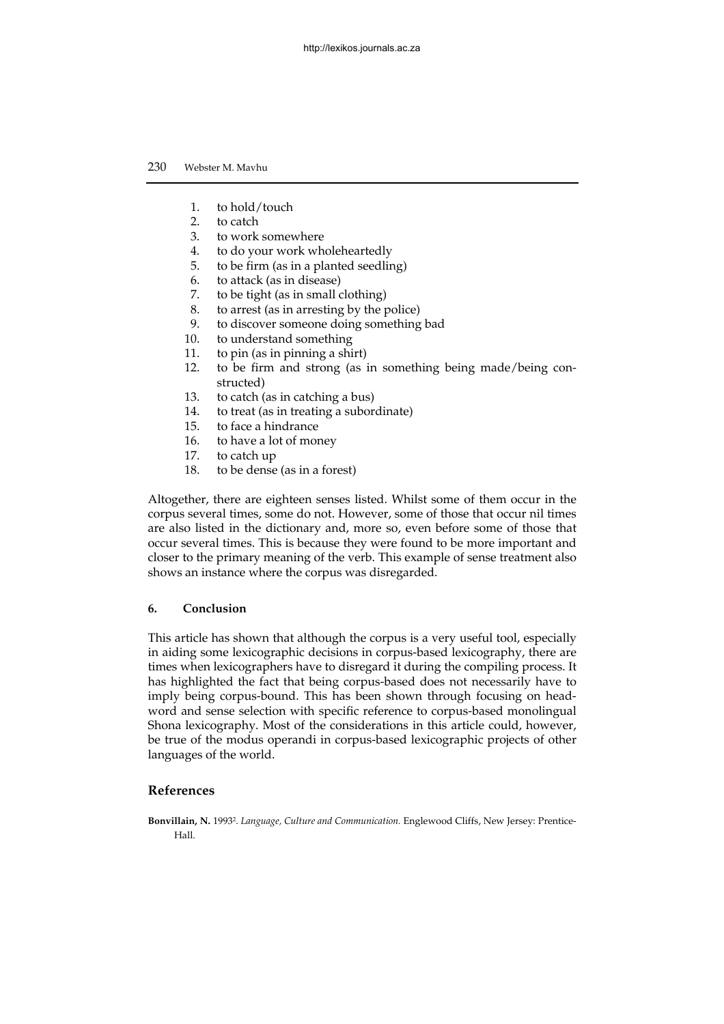- 1. to hold/touch
- 2. to catch
- 3. to work somewhere
- 4. to do your work wholeheartedly
- 5. to be firm (as in a planted seedling)
- 6. to attack (as in disease)
- 7. to be tight (as in small clothing)
- 8. to arrest (as in arresting by the police)
- 9. to discover someone doing something bad
- 10. to understand something
- 11. to pin (as in pinning a shirt)
- 12. to be firm and strong (as in something being made/being constructed)
- 13. to catch (as in catching a bus)
- 14. to treat (as in treating a subordinate)
- 15. to face a hindrance
- 16. to have a lot of money<br>17. to catch up
- to catch up
- 18. to be dense (as in a forest)

Altogether, there are eighteen senses listed. Whilst some of them occur in the corpus several times, some do not. However, some of those that occur nil times are also listed in the dictionary and, more so, even before some of those that occur several times. This is because they were found to be more important and closer to the primary meaning of the verb. This example of sense treatment also shows an instance where the corpus was disregarded.

# **6. Conclusion**

This article has shown that although the corpus is a very useful tool, especially in aiding some lexicographic decisions in corpus-based lexicography, there are times when lexicographers have to disregard it during the compiling process. It has highlighted the fact that being corpus-based does not necessarily have to imply being corpus-bound. This has been shown through focusing on headword and sense selection with specific reference to corpus-based monolingual Shona lexicography. Most of the considerations in this article could, however, be true of the modus operandi in corpus-based lexicographic projects of other languages of the world.

## **References**

**Bonvillain, N.** 19932. *Language, Culture and Communication.* Englewood Cliffs, New Jersey: Prentice-Hall.